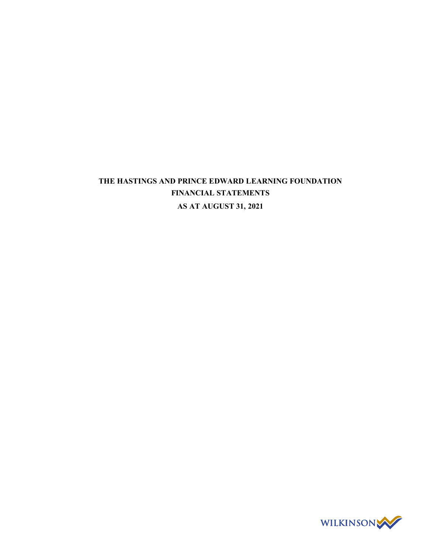# THE HASTINGS AND PRINCE EDWARD LEARNING FOUNDATION FINANCIAL STATEMENTS AS AT AUGUST 31, 2021

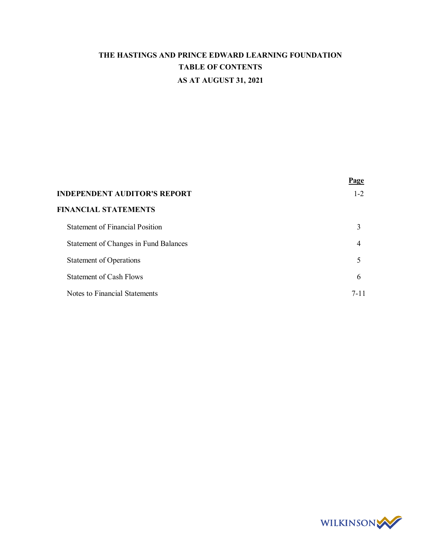# THE HASTINGS AND PRINCE EDWARD LEARNING FOUNDATION TABLE OF CONTENTS AS AT AUGUST 31, 2021

|                                              | Page     |
|----------------------------------------------|----------|
| <b>INDEPENDENT AUDITOR'S REPORT</b>          | $1 - 2$  |
| <b>FINANCIAL STATEMENTS</b>                  |          |
| <b>Statement of Financial Position</b>       | 3        |
| <b>Statement of Changes in Fund Balances</b> | 4        |
| <b>Statement of Operations</b>               | 5        |
| Statement of Cash Flows                      | 6        |
| Notes to Financial Statements                | $7 - 11$ |

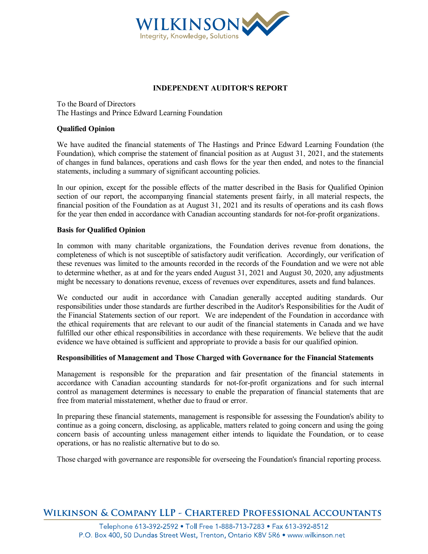

## INDEPENDENT AUDITOR'S REPORT

To the Board of Directors The Hastings and Prince Edward Learning Foundation

## Qualified Opinion

We have audited the financial statements of The Hastings and Prince Edward Learning Foundation (the Foundation), which comprise the statement of financial position as at August 31, 2021, and the statements of changes in fund balances, operations and cash flows for the year then ended, and notes to the financial statements, including a summary of significant accounting policies.

In our opinion, except for the possible effects of the matter described in the Basis for Qualified Opinion section of our report, the accompanying financial statements present fairly, in all material respects, the financial position of the Foundation as at August 31, 2021 and its results of operations and its cash flows for the year then ended in accordance with Canadian accounting standards for not-for-profit organizations.

## Basis for Qualified Opinion

In common with many charitable organizations, the Foundation derives revenue from donations, the completeness of which is not susceptible of satisfactory audit verification. Accordingly, our verification of these revenues was limited to the amounts recorded in the records of the Foundation and we were not able to determine whether, as at and for the years ended August 31, 2021 and August 30, 2020, any adjustments might be necessary to donations revenue, excess of revenues over expenditures, assets and fund balances.

We conducted our audit in accordance with Canadian generally accepted auditing standards. Our responsibilities under those standards are further described in the Auditor's Responsibilities for the Audit of the Financial Statements section of our report. We are independent of the Foundation in accordance with the ethical requirements that are relevant to our audit of the financial statements in Canada and we have fulfilled our other ethical responsibilities in accordance with these requirements. We believe that the audit evidence we have obtained is sufficient and appropriate to provide a basis for our qualified opinion.

## Responsibilities of Management and Those Charged with Governance for the Financial Statements

Management is responsible for the preparation and fair presentation of the financial statements in accordance with Canadian accounting standards for not-for-profit organizations and for such internal control as management determines is necessary to enable the preparation of financial statements that are free from material misstatement, whether due to fraud or error.

In preparing these financial statements, management is responsible for assessing the Foundation's ability to continue as a going concern, disclosing, as applicable, matters related to going concern and using the going concern basis of accounting unless management either intends to liquidate the Foundation, or to cease operations, or has no realistic alternative but to do so.

Those charged with governance are responsible for overseeing the Foundation's financial reporting process.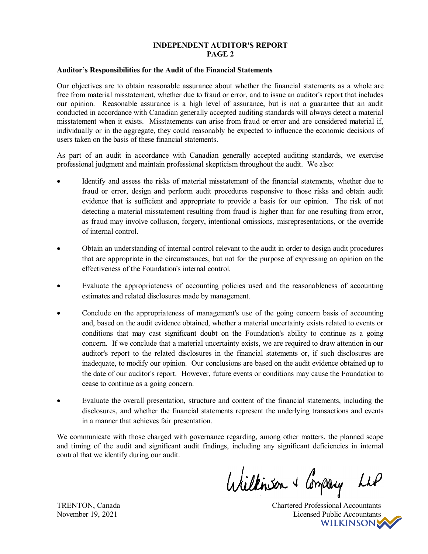## INDEPENDENT AUDITOR'S REPORT PAGE 2

#### Auditor's Responsibilities for the Audit of the Financial Statements

Our objectives are to obtain reasonable assurance about whether the financial statements as a whole are free from material misstatement, whether due to fraud or error, and to issue an auditor's report that includes our opinion. Reasonable assurance is a high level of assurance, but is not a guarantee that an audit conducted in accordance with Canadian generally accepted auditing standards will always detect a material misstatement when it exists. Misstatements can arise from fraud or error and are considered material if, individually or in the aggregate, they could reasonably be expected to influence the economic decisions of users taken on the basis of these financial statements.

As part of an audit in accordance with Canadian generally accepted auditing standards, we exercise professional judgment and maintain professional skepticism throughout the audit. We also:

- Identify and assess the risks of material misstatement of the financial statements, whether due to fraud or error, design and perform audit procedures responsive to those risks and obtain audit evidence that is sufficient and appropriate to provide a basis for our opinion. The risk of not detecting a material misstatement resulting from fraud is higher than for one resulting from error, as fraud may involve collusion, forgery, intentional omissions, misrepresentations, or the override of internal control.
- Obtain an understanding of internal control relevant to the audit in order to design audit procedures that are appropriate in the circumstances, but not for the purpose of expressing an opinion on the effectiveness of the Foundation's internal control.
- Evaluate the appropriateness of accounting policies used and the reasonableness of accounting estimates and related disclosures made by management.
- Conclude on the appropriateness of management's use of the going concern basis of accounting and, based on the audit evidence obtained, whether a material uncertainty exists related to events or conditions that may cast significant doubt on the Foundation's ability to continue as a going concern. If we conclude that a material uncertainty exists, we are required to draw attention in our auditor's report to the related disclosures in the financial statements or, if such disclosures are inadequate, to modify our opinion. Our conclusions are based on the audit evidence obtained up to the date of our auditor's report. However, future events or conditions may cause the Foundation to cease to continue as a going concern.
- Evaluate the overall presentation, structure and content of the financial statements, including the disclosures, and whether the financial statements represent the underlying transactions and events in a manner that achieves fair presentation.

We communicate with those charged with governance regarding, among other matters, the planned scope and timing of the audit and significant audit findings, including any significant deficiencies in internal control that we identify during our audit.

Williamson + Company

TRENTON, Canada Chartered Professional Accountants November 19, 2021 Licensed Public Accountants<br>WILKINSON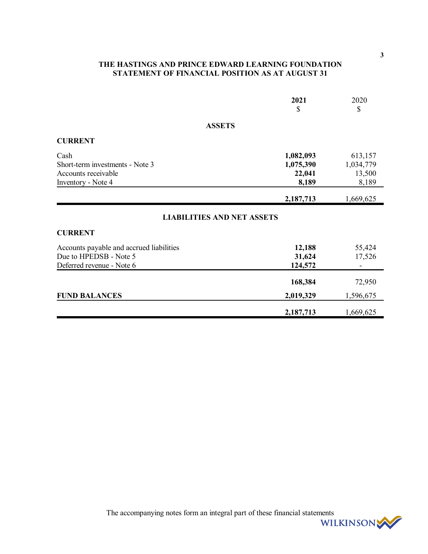# THE HASTINGS AND PRINCE EDWARD LEARNING FOUNDATION STATEMENT OF FINANCIAL POSITION AS AT AUGUST 31

|                                                                                                 | 2021<br>\$                                | 2020<br>\$                                   |
|-------------------------------------------------------------------------------------------------|-------------------------------------------|----------------------------------------------|
| <b>ASSETS</b>                                                                                   |                                           |                                              |
| <b>CURRENT</b>                                                                                  |                                           |                                              |
| Cash<br>Short-term investments - Note 3<br>Accounts receivable<br>Inventory - Note 4            | 1,082,093<br>1,075,390<br>22,041<br>8,189 | 613,157<br>1,034,779<br>13,500<br>8,189      |
|                                                                                                 | 2,187,713                                 | 1,669,625                                    |
| <b>LIABILITIES AND NET ASSETS</b>                                                               |                                           |                                              |
| <b>CURRENT</b>                                                                                  |                                           |                                              |
| Accounts payable and accrued liabilities<br>Due to HPEDSB - Note 5<br>Deferred revenue - Note 6 | 12,188<br>31,624<br>124,572               | 55,424<br>17,526<br>$\overline{\phantom{a}}$ |
|                                                                                                 | 168,384                                   | 72,950                                       |
| <b>FUND BALANCES</b>                                                                            | 2,019,329                                 | 1,596,675                                    |
|                                                                                                 | 2,187,713                                 | 1,669,625                                    |

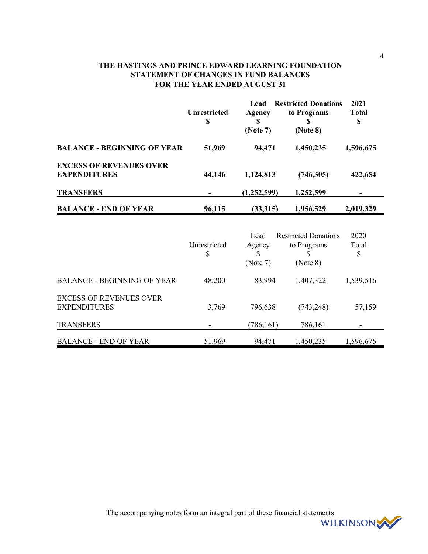# THE HASTINGS AND PRINCE EDWARD LEARNING FOUNDATION STATEMENT OF CHANGES IN FUND BALANCES FOR THE YEAR ENDED AUGUST 31

|                                                       | <b>Unrestricted</b><br>\$ | Lead<br>Agency<br>S<br>(Note 7) | <b>Restricted Donations</b><br>to Programs<br>(Note 8) | 2021<br><b>Total</b><br>\$ |
|-------------------------------------------------------|---------------------------|---------------------------------|--------------------------------------------------------|----------------------------|
| <b>BALANCE - BEGINNING OF YEAR</b>                    | 51,969                    | 94,471                          | 1,450,235                                              | 1,596,675                  |
| <b>EXCESS OF REVENUES OVER</b><br><b>EXPENDITURES</b> | 44,146                    | 1,124,813                       | (746,305)                                              | 422,654                    |
| <b>TRANSFERS</b>                                      |                           | (1,252,599)                     | 1,252,599                                              |                            |
| <b>BALANCE - END OF YEAR</b>                          | 96,115                    | (33,315)                        | 1,956,529                                              | 2,019,329                  |

|                                                       | Unrestricted<br>\$ | Lead<br>Agency<br>S<br>(Note 7) | <b>Restricted Donations</b><br>to Programs<br>(Note 8) | 2020<br>Total<br>\$ |
|-------------------------------------------------------|--------------------|---------------------------------|--------------------------------------------------------|---------------------|
| <b>BALANCE - BEGINNING OF YEAR</b>                    | 48,200             | 83,994                          | 1,407,322                                              | 1,539,516           |
| <b>EXCESS OF REVENUES OVER</b><br><b>EXPENDITURES</b> | 3,769              | 796,638                         | (743, 248)                                             | 57,159              |
| <b>TRANSFERS</b>                                      |                    | (786,161)                       | 786,161                                                |                     |
| <b>BALANCE - END OF YEAR</b>                          | 51,969             | 94,471                          | 1,450,235                                              | 1,596,675           |

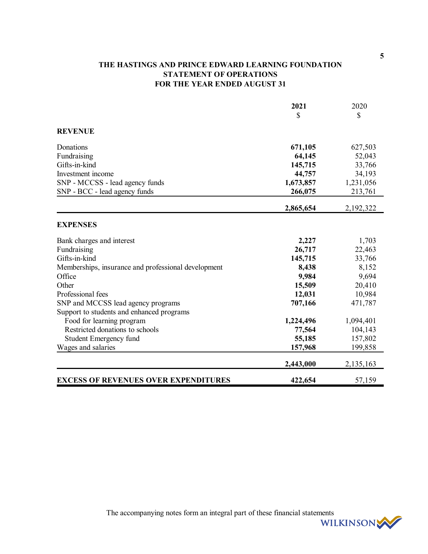# THE HASTINGS AND PRINCE EDWARD LEARNING FOUNDATION STATEMENT OF OPERATIONS FOR THE YEAR ENDED AUGUST 31

|                                                     | 2021      | 2020      |
|-----------------------------------------------------|-----------|-----------|
|                                                     | \$        | \$        |
| <b>REVENUE</b>                                      |           |           |
| Donations                                           | 671,105   | 627,503   |
| Fundraising                                         | 64,145    | 52,043    |
| Gifts-in-kind                                       | 145,715   | 33,766    |
| Investment income                                   | 44,757    | 34,193    |
| SNP - MCCSS - lead agency funds                     | 1,673,857 | 1,231,056 |
| SNP - BCC - lead agency funds                       | 266,075   | 213,761   |
|                                                     | 2,865,654 | 2,192,322 |
| <b>EXPENSES</b>                                     |           |           |
| Bank charges and interest                           | 2,227     | 1,703     |
| Fundraising                                         | 26,717    | 22,463    |
| Gifts-in-kind                                       | 145,715   | 33,766    |
| Memberships, insurance and professional development | 8,438     | 8,152     |
| Office                                              | 9,984     | 9,694     |
| Other                                               | 15,509    | 20,410    |
| Professional fees                                   | 12,031    | 10,984    |
| SNP and MCCSS lead agency programs                  | 707,166   | 471,787   |
| Support to students and enhanced programs           |           |           |
| Food for learning program                           | 1,224,496 | 1,094,401 |
| Restricted donations to schools                     | 77,564    | 104,143   |
| Student Emergency fund                              | 55,185    | 157,802   |
| Wages and salaries                                  | 157,968   | 199,858   |
|                                                     | 2,443,000 | 2,135,163 |
| <b>EXCESS OF REVENUES OVER EXPENDITURES</b>         | 422,654   | 57,159    |

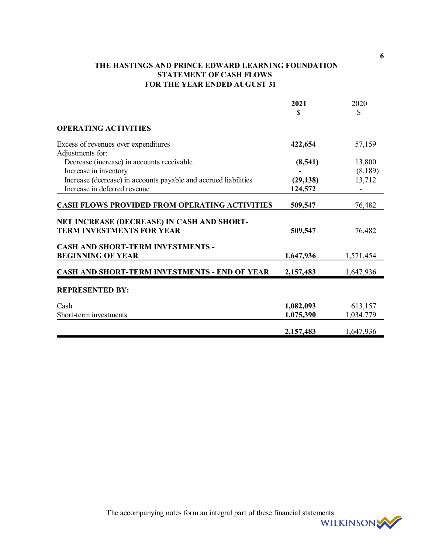# THE HASTINGS AND PRINCE EDWARD LEARNING FOUNDATION STATEMENT OF CASH FLOWS FOR THE YEAR ENDED AUGUST 31

|                                                                                | 2021<br>\$ | 2020<br>\$ |
|--------------------------------------------------------------------------------|------------|------------|
| <b>OPERATING ACTIVITIES</b>                                                    |            |            |
| Excess of revenues over expenditures                                           | 422,654    | 57,159     |
| Adjustments for:                                                               |            | 13,800     |
| Decrease (increase) in accounts receivable<br>Increase in inventory            | (8,541)    | (8,189)    |
| Increase (decrease) in accounts payable and accrued liabilities                | (29, 138)  | 13,712     |
| Increase in deferred revenue                                                   | 124,572    |            |
| <b>CASH FLOWS PROVIDED FROM OPERATING ACTIVITIES</b>                           | 509,547    | 76,482     |
| NET INCREASE (DECREASE) IN CASH AND SHORT-<br><b>TERM INVESTMENTS FOR YEAR</b> | 509,547    | 76,482     |
| <b>CASH AND SHORT-TERM INVESTMENTS -</b><br><b>BEGINNING OF YEAR</b>           | 1,647,936  | 1,571,454  |
| CASH AND SHORT-TERM INVESTMENTS - END OF YEAR                                  | 2,157,483  | 1,647,936  |
| <b>REPRESENTED BY:</b>                                                         |            |            |
| Cash                                                                           | 1,082,093  | 613,157    |
| Short-term investments                                                         | 1,075,390  | 1,034,779  |
|                                                                                | 2,157,483  | 1,647,936  |

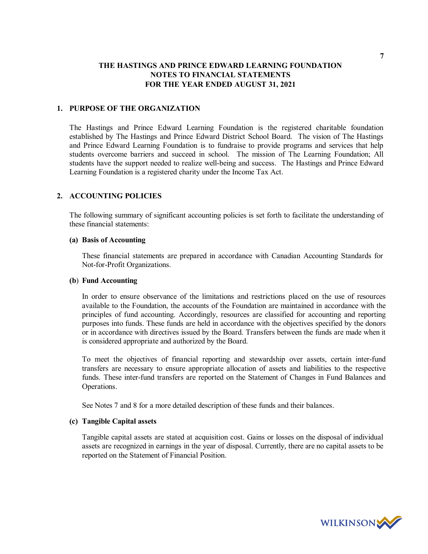## 1. PURPOSE OF THE ORGANIZATION

The Hastings and Prince Edward Learning Foundation is the registered charitable foundation established by The Hastings and Prince Edward District School Board. The vision of The Hastings and Prince Edward Learning Foundation is to fundraise to provide programs and services that help students overcome barriers and succeed in school. The mission of The Learning Foundation; All students have the support needed to realize well-being and success. The Hastings and Prince Edward Learning Foundation is a registered charity under the Income Tax Act.

## 2. ACCOUNTING POLICIES

The following summary of significant accounting policies is set forth to facilitate the understanding of these financial statements:

#### (a) Basis of Accounting

These financial statements are prepared in accordance with Canadian Accounting Standards for Not-for-Profit Organizations.

#### (b) Fund Accounting

In order to ensure observance of the limitations and restrictions placed on the use of resources available to the Foundation, the accounts of the Foundation are maintained in accordance with the principles of fund accounting. Accordingly, resources are classified for accounting and reporting purposes into funds. These funds are held in accordance with the objectives specified by the donors or in accordance with directives issued by the Board. Transfers between the funds are made when it is considered appropriate and authorized by the Board.

To meet the objectives of financial reporting and stewardship over assets, certain inter-fund transfers are necessary to ensure appropriate allocation of assets and liabilities to the respective funds. These inter-fund transfers are reported on the Statement of Changes in Fund Balances and Operations.

See Notes 7 and 8 for a more detailed description of these funds and their balances.

#### (c) Tangible Capital assets

Tangible capital assets are stated at acquisition cost. Gains or losses on the disposal of individual assets are recognized in earnings in the year of disposal. Currently, there are no capital assets to be reported on the Statement of Financial Position.

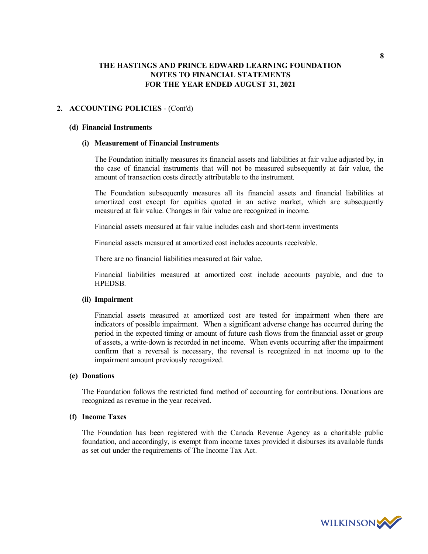## 2. ACCOUNTING POLICIES - (Cont'd)

#### (d) Financial Instruments

## (i) Measurement of Financial Instruments

The Foundation initially measures its financial assets and liabilities at fair value adjusted by, in the case of financial instruments that will not be measured subsequently at fair value, the amount of transaction costs directly attributable to the instrument.

The Foundation subsequently measures all its financial assets and financial liabilities at amortized cost except for equities quoted in an active market, which are subsequently measured at fair value. Changes in fair value are recognized in income.

Financial assets measured at fair value includes cash and short-term investments

Financial assets measured at amortized cost includes accounts receivable.

There are no financial liabilities measured at fair value.

Financial liabilities measured at amortized cost include accounts payable, and due to HPEDSB.

## (ii) Impairment

Financial assets measured at amortized cost are tested for impairment when there are indicators of possible impairment. When a significant adverse change has occurred during the period in the expected timing or amount of future cash flows from the financial asset or group of assets, a write-down is recorded in net income. When events occurring after the impairment confirm that a reversal is necessary, the reversal is recognized in net income up to the impairment amount previously recognized.

#### (e) Donations

The Foundation follows the restricted fund method of accounting for contributions. Donations are recognized as revenue in the year received.

#### (f) Income Taxes

The Foundation has been registered with the Canada Revenue Agency as a charitable public foundation, and accordingly, is exempt from income taxes provided it disburses its available funds as set out under the requirements of The Income Tax Act.

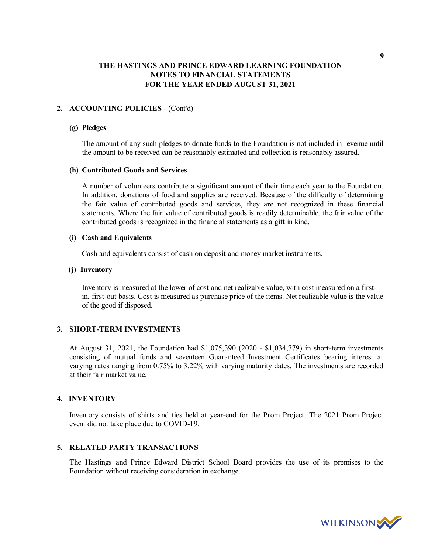## 2. ACCOUNTING POLICIES - (Cont'd)

#### (g) Pledges

The amount of any such pledges to donate funds to the Foundation is not included in revenue until the amount to be received can be reasonably estimated and collection is reasonably assured.

#### (h) Contributed Goods and Services

A number of volunteers contribute a significant amount of their time each year to the Foundation. In addition, donations of food and supplies are received. Because of the difficulty of determining the fair value of contributed goods and services, they are not recognized in these financial statements. Where the fair value of contributed goods is readily determinable, the fair value of the contributed goods is recognized in the financial statements as a gift in kind.

#### (i) Cash and Equivalents

Cash and equivalents consist of cash on deposit and money market instruments.

#### (j) Inventory

Inventory is measured at the lower of cost and net realizable value, with cost measured on a firstin, first-out basis. Cost is measured as purchase price of the items. Net realizable value is the value of the good if disposed.

#### 3. SHORT-TERM INVESTMENTS

At August 31, 2021, the Foundation had \$1,075,390 (2020 - \$1,034,779) in short-term investments consisting of mutual funds and seventeen Guaranteed Investment Certificates bearing interest at varying rates ranging from 0.75% to 3.22% with varying maturity dates. The investments are recorded at their fair market value.

#### 4. INVENTORY

Inventory consists of shirts and ties held at year-end for the Prom Project. The 2021 Prom Project event did not take place due to COVID-19.

## 5. RELATED PARTY TRANSACTIONS

The Hastings and Prince Edward District School Board provides the use of its premises to the Foundation without receiving consideration in exchange.



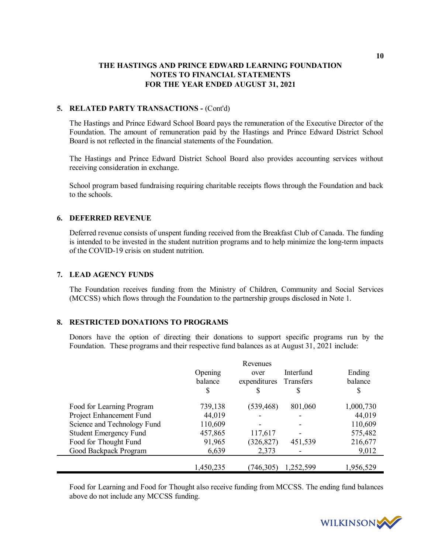## 5. RELATED PARTY TRANSACTIONS - (Cont'd)

The Hastings and Prince Edward School Board pays the remuneration of the Executive Director of the Foundation. The amount of remuneration paid by the Hastings and Prince Edward District School Board is not reflected in the financial statements of the Foundation.

The Hastings and Prince Edward District School Board also provides accounting services without receiving consideration in exchange.

School program based fundraising requiring charitable receipts flows through the Foundation and back to the schools.

#### 6. DEFERRED REVENUE

Deferred revenue consists of unspent funding received from the Breakfast Club of Canada. The funding is intended to be invested in the student nutrition programs and to help minimize the long-term impacts of the COVID-19 crisis on student nutrition.

#### 7. LEAD AGENCY FUNDS

The Foundation receives funding from the Ministry of Children, Community and Social Services (MCCSS) which flows through the Foundation to the partnership groups disclosed in Note 1.

#### 8. RESTRICTED DONATIONS TO PROGRAMS

Donors have the option of directing their donations to support specific programs run by the Foundation. These programs and their respective fund balances as at August 31, 2021 include:

|                               |           | Revenues     |           |           |
|-------------------------------|-----------|--------------|-----------|-----------|
|                               | Opening   | over         | Interfund | Ending    |
|                               | balance   | expenditures | Transfers | balance   |
|                               | S         | S            | S         | S         |
| Food for Learning Program     | 739,138   | (539, 468)   | 801,060   | 1,000,730 |
| Project Enhancement Fund      | 44,019    |              |           | 44,019    |
| Science and Technology Fund   | 110,609   |              |           | 110,609   |
| <b>Student Emergency Fund</b> | 457,865   | 117,617      |           | 575,482   |
| Food for Thought Fund         | 91,965    | (326, 827)   | 451,539   | 216,677   |
| Good Backpack Program         | 6,639     | 2,373        |           | 9,012     |
|                               |           |              |           |           |
|                               | 1,450,235 | (746, 305)   | 1,252,599 | 1,956,529 |

Food for Learning and Food for Thought also receive funding from MCCSS. The ending fund balances above do not include any MCCSS funding.